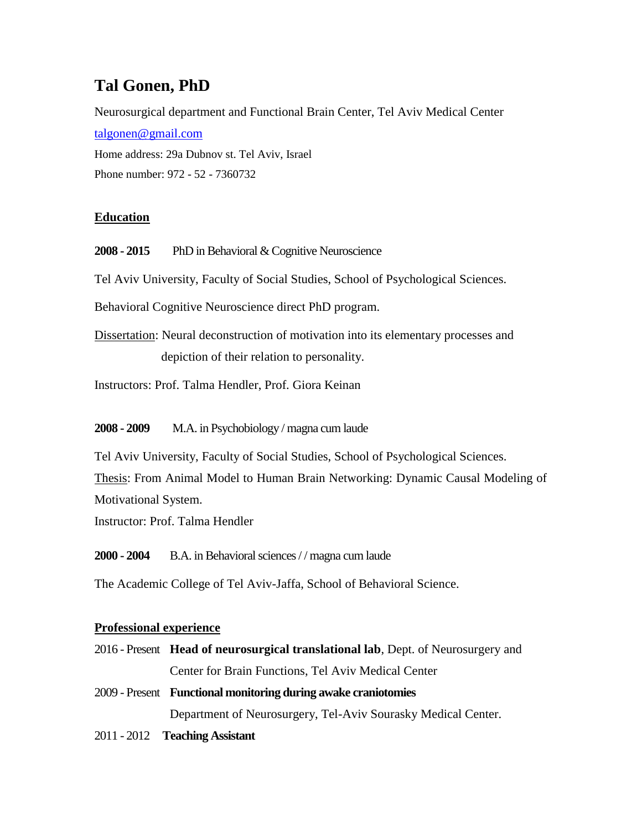# **Tal Gonen, PhD**

Neurosurgical department and Functional Brain Center, Tel Aviv Medical Center [talgonen@gmail.com](mailto:talgonen@gmail.com) Home address: 29a Dubnov st. Tel Aviv, Israel Phone number: 972 - 52 - 7360732

#### **Education**

**2008 - 2015** PhD in Behavioral & Cognitive Neuroscience

Tel Aviv University, Faculty of Social Studies, School of Psychological Sciences.

Behavioral Cognitive Neuroscience direct PhD program.

Dissertation: Neural deconstruction of motivation into its elementary processes and depiction of their relation to personality.

Instructors: Prof. Talma Hendler, Prof. Giora Keinan

#### **2008 - 2009** M.A. in Psychobiology / magna cum laude

Tel Aviv University, Faculty of Social Studies, School of Psychological Sciences. Thesis: From Animal Model to Human Brain Networking: Dynamic Causal Modeling of Motivational System.

Instructor: Prof. Talma Hendler

**2000 - 2004** B.A. in Behavioral sciences / / magna cum laude

The Academic College of Tel Aviv-Jaffa, School of Behavioral Science.

## **Professional experience**

- 2016 Present **Head of neurosurgical translational lab**, Dept. of Neurosurgery and Center for Brain Functions, Tel Aviv Medical Center
- 2009 Present **Functional monitoring during awake craniotomies** Department of Neurosurgery, Tel-Aviv Sourasky Medical Center.
- 2011 2012 **Teaching Assistant**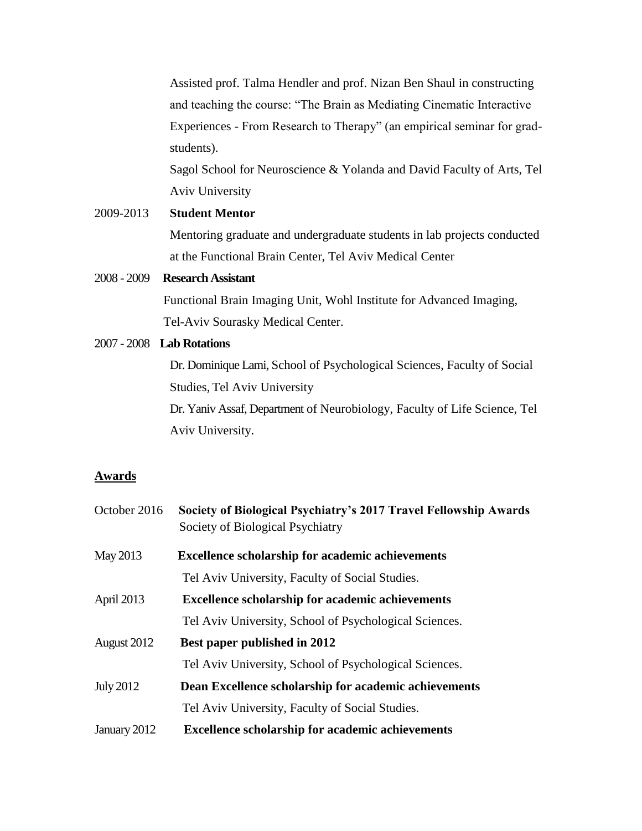Assisted prof. Talma Hendler and prof. Nizan Ben Shaul in constructing and teaching the course: "The Brain as Mediating Cinematic Interactive Experiences - From Research to Therapy" (an empirical seminar for gradstudents).

Sagol School for Neuroscience & Yolanda and David Faculty of Arts, Tel Aviv University

## 2009-2013 **Student Mentor**

Mentoring graduate and undergraduate students in lab projects conducted at the Functional Brain Center, Tel Aviv Medical Center

#### 2008 - 2009 **Research Assistant**

 Functional Brain Imaging Unit, Wohl Institute for Advanced Imaging, Tel-Aviv Sourasky Medical Center.

#### 2007 - 2008 **Lab Rotations**

Dr. Dominique Lami, School of Psychological Sciences, Faculty of Social Studies, Tel Aviv University

Dr. Yaniv Assaf, Department of Neurobiology, Faculty of Life Science, Tel Aviv University.

#### **Awards**

| October 2016     | Society of Biological Psychiatry's 2017 Travel Fellowship Awards<br>Society of Biological Psychiatry |
|------------------|------------------------------------------------------------------------------------------------------|
| May 2013         | <b>Excellence scholarship for academic achievements</b>                                              |
|                  | Tel Aviv University, Faculty of Social Studies.                                                      |
| April 2013       | <b>Excellence scholarship for academic achievements</b>                                              |
|                  | Tel Aviv University, School of Psychological Sciences.                                               |
| August 2012      | Best paper published in 2012                                                                         |
|                  | Tel Aviv University, School of Psychological Sciences.                                               |
| <b>July 2012</b> | Dean Excellence scholarship for academic achievements                                                |
|                  | Tel Aviv University, Faculty of Social Studies.                                                      |
| January 2012     | <b>Excellence scholarship for academic achievements</b>                                              |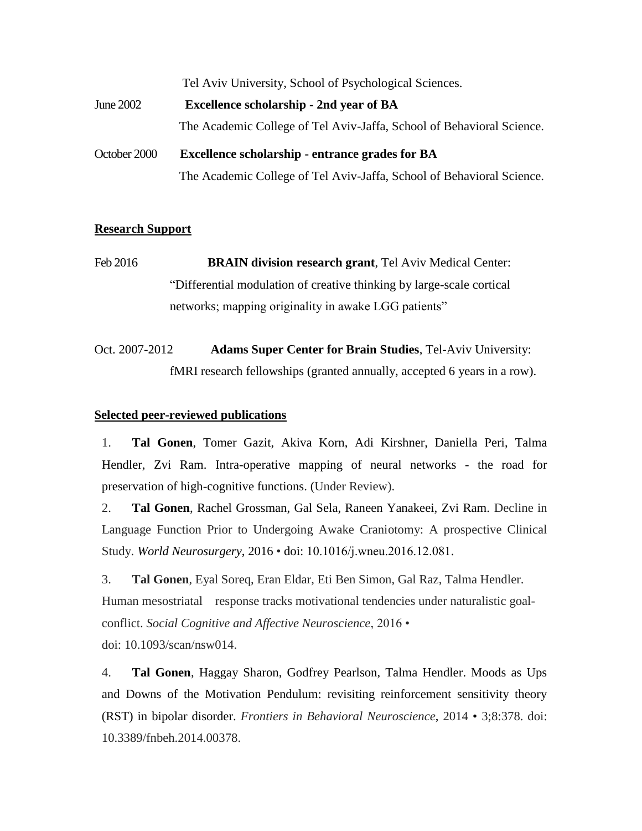# Tel Aviv University, School of Psychological Sciences. June 2002 **Excellence scholarship - 2nd year of BA** The Academic College of Tel Aviv-Jaffa, School of Behavioral Science. October 2000 **Excellence scholarship - entrance grades for BA**

The Academic College of Tel Aviv-Jaffa, School of Behavioral Science.

## **Research Support**

Feb 2016 **BRAIN division research grant**, Tel Aviv Medical Center: "Differential modulation of creative thinking by large-scale cortical networks; mapping originality in awake LGG patients"

Oct. 2007-2012 **Adams Super Center for Brain Studies**, Tel-Aviv University: fMRI research fellowships (granted annually, accepted 6 years in a row).

#### **Selected peer-reviewed publications**

1. **Tal Gonen**, Tomer Gazit, Akiva Korn, Adi Kirshner, Daniella Peri, Talma Hendler, Zvi Ram. Intra-operative mapping of neural networks - the road for preservation of high-cognitive functions. (Under Review).

2. **Tal Gonen**, Rachel Grossman, Gal Sela, Raneen Yanakeei, Zvi Ram. Decline in Language Function Prior to Undergoing Awake Craniotomy: A prospective Clinical Study. *World Neurosurgery*, 2016 • doi: 10.1016/j.wneu.2016.12.081.

3. **Tal Gonen**, Eyal Soreq, Eran Eldar, Eti Ben Simon, Gal Raz, Talma Hendler. Human mesostriatal response tracks motivational tendencies under naturalistic goalconflict. *Social Cognitive and Affective Neuroscience*, 2016 • doi: 10.1093/scan/nsw014.

4. **Tal Gonen**, Haggay Sharon, Godfrey Pearlson, Talma Hendler. Moods as Ups and Downs of the Motivation Pendulum: revisiting reinforcement sensitivity theory (RST) in bipolar disorder. *Frontiers in Behavioral Neuroscience*, 2014 • 3;8:378. doi: 10.3389/fnbeh.2014.00378.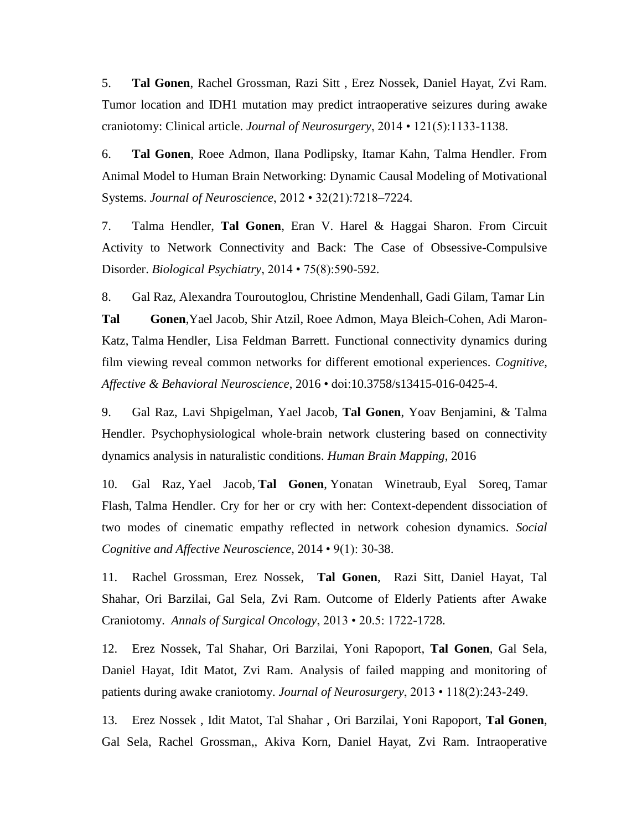5. **Tal Gonen**, Rachel Grossman, Razi Sitt , Erez Nossek, Daniel Hayat, Zvi Ram. Tumor location and IDH1 mutation may predict intraoperative seizures during awake craniotomy: Clinical article. *Journal of Neurosurgery*, 2014 • 121(5):1133-1138.

6. **Tal Gonen**, Roee Admon, Ilana Podlipsky, Itamar Kahn, Talma Hendler. From Animal Model to Human Brain Networking: Dynamic Causal Modeling of Motivational Systems. *Journal of Neuroscience*, 2012 • 32(21):7218–7224.

7. Talma Hendler, **Tal Gonen**, Eran V. Harel & Haggai Sharon. From Circuit Activity to Network Connectivity and Back: The Case of Obsessive-Compulsive Disorder. *Biological Psychiatry*, 2014 • 75(8):590-592.

8. Gal Raz, Alexandra Touroutoglou, Christine Mendenhall, Gadi Gilam, Tamar Lin **Tal Gonen**,Yael Jacob, Shir Atzil, Roee Admon, Maya Bleich-Cohen, Adi Maron-Katz, Talma Hendler, Lisa Feldman Barrett. Functional connectivity dynamics during film viewing reveal common networks for different emotional experiences. *[Cognitive,](http://link.springer.com/journal/13415)  [Affective & Behavioral Neuroscience](http://link.springer.com/journal/13415)*, 2016 • doi:10.3758/s13415-016-0425-4.

9. Gal Raz, Lavi Shpigelman, Yael Jacob, **Tal Gonen**, Yoav Benjamini, & Talma Hendler. Psychophysiological whole‐brain network clustering based on connectivity dynamics analysis in naturalistic conditions. *Human Brain Mapping*, 2016

10. [Gal Raz,](https://www.researchgate.net/researcher/71340414_Gal_Raz/) [Yael Jacob,](https://www.researchgate.net/researcher/37792454_Yael_Jacob/) **[Tal Gonen](https://www.researchgate.net/researcher/2007832162_Tal_Gonen/)**, [Yonatan Winetraub,](https://www.researchgate.net/researcher/71468408_Yonatan_Winetraub/) [Eyal Soreq,](https://www.researchgate.net/researcher/71638418_Eyal_Soreq/) [Tamar](https://www.researchgate.net/researcher/2007823743_Tamar_Flash/)  [Flash,](https://www.researchgate.net/researcher/2007823743_Tamar_Flash/) [Talma Hendler.](https://www.researchgate.net/researcher/38400942_Talma_Hendler/) Cry for her or cry with her: Context-dependent dissociation of two modes of cinematic empathy reflected in network cohesion dynamics. *[Social](https://www.researchgate.net/journal/1749-5024_Social_Cognitive_and_Affective_Neuroscience)  [Cognitive and Affective Neuroscience](https://www.researchgate.net/journal/1749-5024_Social_Cognitive_and_Affective_Neuroscience)*, 2014 • 9(1): 30-38.

11. Rachel Grossman, Erez Nossek, **Tal Gonen**, Razi Sitt, Daniel Hayat, Tal Shahar, Ori Barzilai, Gal Sela, Zvi Ram. Outcome of Elderly Patients after Awake Craniotomy.*[Annals of Surgical Oncology](http://link.springer.com/journal/10434)*, 2013 • 20.5: 1722-1728.

12. Erez Nossek, Tal Shahar, Ori Barzilai, Yoni Rapoport, **Tal Gonen**, Gal Sela, Daniel Hayat, Idit Matot, Zvi Ram. Analysis of failed mapping and monitoring of patients during awake craniotomy. *Journal of Neurosurgery*, 2013 • 118(2):243-249.

13. Erez Nossek , Idit Matot, Tal Shahar , Ori Barzilai, Yoni Rapoport, **Tal Gonen**, Gal Sela, Rachel Grossman,, Akiva Korn, Daniel Hayat, Zvi Ram. Intraoperative